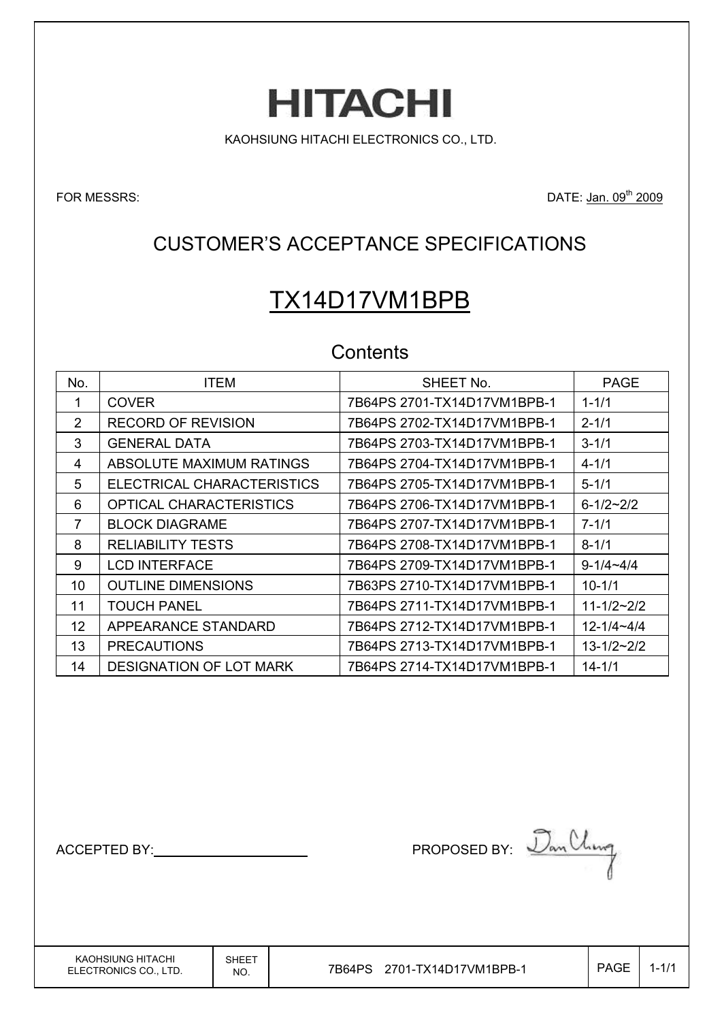KAOHSIUNG HITACHI ELECTRONICS CO., LTD.

**HITACHI** 

FOR MESSRS: DATE: Jan. 09<sup>th</sup> 2009

# CUSTOMER'S ACCEPTANCE SPECIFICATIONS

# TX14D17VM1BPB

### **Contents**

| No.               | <b>ITEM</b>                    | SHEET No.                   | <b>PAGE</b>      |
|-------------------|--------------------------------|-----------------------------|------------------|
|                   | <b>COVER</b>                   | 7B64PS 2701-TX14D17VM1BPB-1 | $1 - 1/1$        |
| 2                 | <b>RECORD OF REVISION</b>      | 7B64PS 2702-TX14D17VM1BPB-1 | $2 - 1/1$        |
| 3                 | <b>GENERAL DATA</b>            | 7B64PS 2703-TX14D17VM1BPB-1 | $3 - 1/1$        |
| 4                 | ABSOLUTE MAXIMUM RATINGS       | 7B64PS 2704-TX14D17VM1BPB-1 | $4 - 1/1$        |
| 5                 | ELECTRICAL CHARACTERISTICS     | 7B64PS 2705-TX14D17VM1BPB-1 | $5 - 1/1$        |
| 6                 | OPTICAL CHARACTERISTICS        | 7B64PS 2706-TX14D17VM1BPB-1 | $6 - 1/2 - 2/2$  |
| 7                 | <b>BLOCK DIAGRAME</b>          | 7B64PS 2707-TX14D17VM1BPB-1 | $7 - 1/1$        |
| 8                 | RELIABILITY TESTS              | 7B64PS 2708-TX14D17VM1BPB-1 | $8 - 1/1$        |
| 9                 | <b>LCD INTERFACE</b>           | 7B64PS 2709-TX14D17VM1BPB-1 | $9 - 1/4 - 4/4$  |
| 10                | <b>OUTLINE DIMENSIONS</b>      | 7B63PS 2710-TX14D17VM1BPB-1 | $10 - 1/1$       |
| 11                | <b>TOUCH PANEL</b>             | 7B64PS 2711-TX14D17VM1BPB-1 | $11 - 1/2 - 2/2$ |
| $12 \overline{ }$ | APPEARANCE STANDARD            | 7B64PS 2712-TX14D17VM1BPB-1 | $12 - 1/4 - 4/4$ |
| 13                | <b>PRECAUTIONS</b>             | 7B64PS 2713-TX14D17VM1BPB-1 | $13 - 1/2 - 2/2$ |
| 14                | <b>DESIGNATION OF LOT MARK</b> | 7B64PS 2714-TX14D17VM1BPB-1 | 14-1/1           |

ACCEPTED BY: Dan Uling

KAOHSIUNG HITACHI ELECTRONICS CO., LTD. SHEET

 $N_{\text{NO.}}$  7B64PS 2701-TX14D17VM1BPB-1  $\vert$  PAGE 1-1/1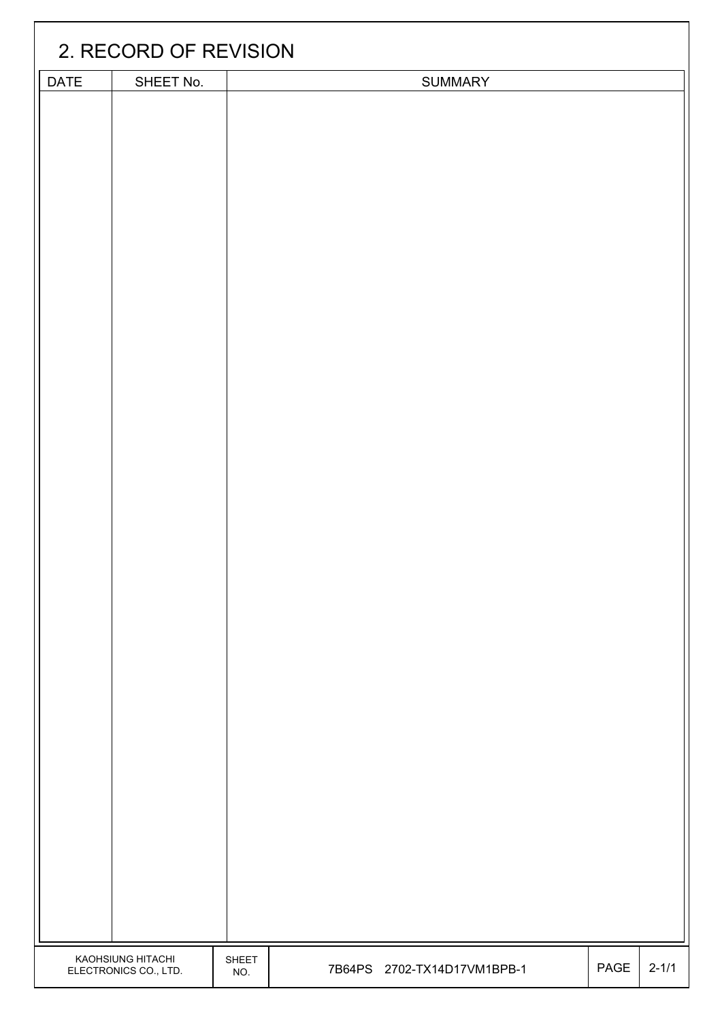| 2. RECORD OF REVISION    |       |  |                             |      |           |
|--------------------------|-------|--|-----------------------------|------|-----------|
| <b>DATE</b><br>SHEET No. |       |  | SUMMARY                     |      |           |
|                          |       |  |                             |      |           |
| KAOHSIUNG HITACHI        | SHEET |  |                             |      |           |
| ELECTRONICS CO., LTD.    | NO.   |  | 7B64PS 2702-TX14D17VM1BPB-1 | PAGE | $2 - 1/1$ |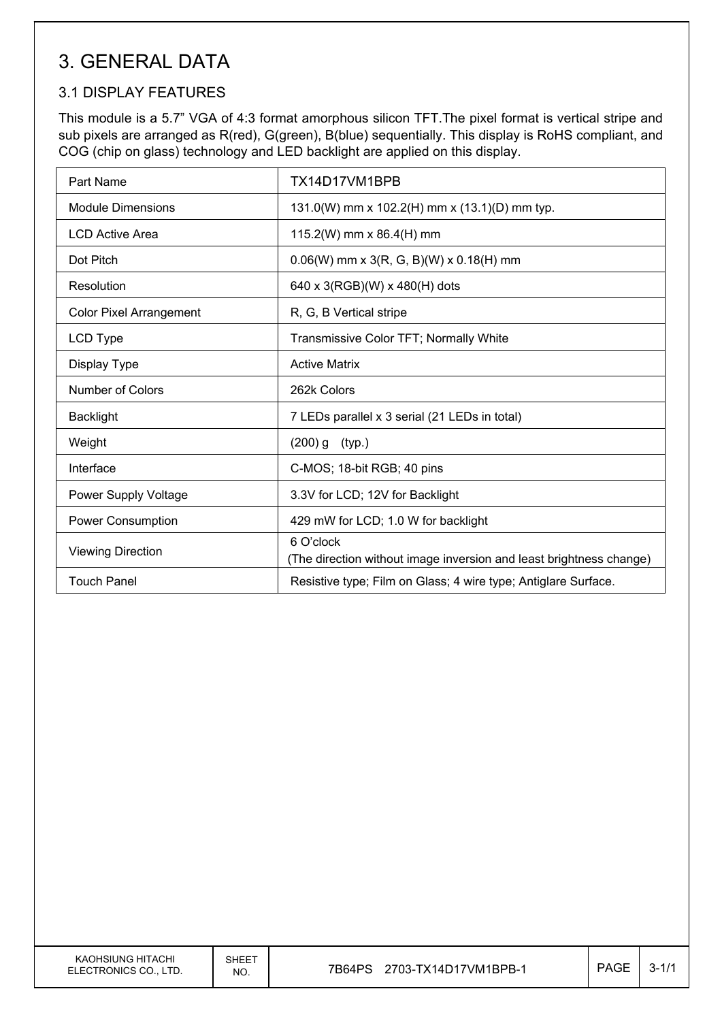# 3. GENERAL DATA

### 3.1 DISPLAY FEATURES

This module is a 5.7" VGA of 4:3 format amorphous silicon TFT.The pixel format is vertical stripe and sub pixels are arranged as R(red), G(green), B(blue) sequentially. This display is RoHS compliant, and COG (chip on glass) technology and LED backlight are applied on this display.

| Part Name                      | TX14D17VM1BPB                                                                    |
|--------------------------------|----------------------------------------------------------------------------------|
| <b>Module Dimensions</b>       | 131.0(W) mm x 102.2(H) mm x (13.1)(D) mm typ.                                    |
| <b>LCD Active Area</b>         | 115.2(W) mm x 86.4(H) mm                                                         |
| Dot Pitch                      | $0.06(W)$ mm x 3(R, G, B)(W) x 0.18(H) mm                                        |
| Resolution                     | 640 x 3(RGB)(W) x 480(H) dots                                                    |
| <b>Color Pixel Arrangement</b> | R, G, B Vertical stripe                                                          |
| LCD Type                       | Transmissive Color TFT; Normally White                                           |
| Display Type                   | <b>Active Matrix</b>                                                             |
| Number of Colors               | 262k Colors                                                                      |
| <b>Backlight</b>               | 7 LEDs parallel x 3 serial (21 LEDs in total)                                    |
| Weight                         | $(200)$ g $(typ.)$                                                               |
| Interface                      | C-MOS; 18-bit RGB; 40 pins                                                       |
| Power Supply Voltage           | 3.3V for LCD; 12V for Backlight                                                  |
| Power Consumption              | 429 mW for LCD; 1.0 W for backlight                                              |
| <b>Viewing Direction</b>       | 6 O'clock<br>(The direction without image inversion and least brightness change) |
| <b>Touch Panel</b>             | Resistive type; Film on Glass; 4 wire type; Antiglare Surface.                   |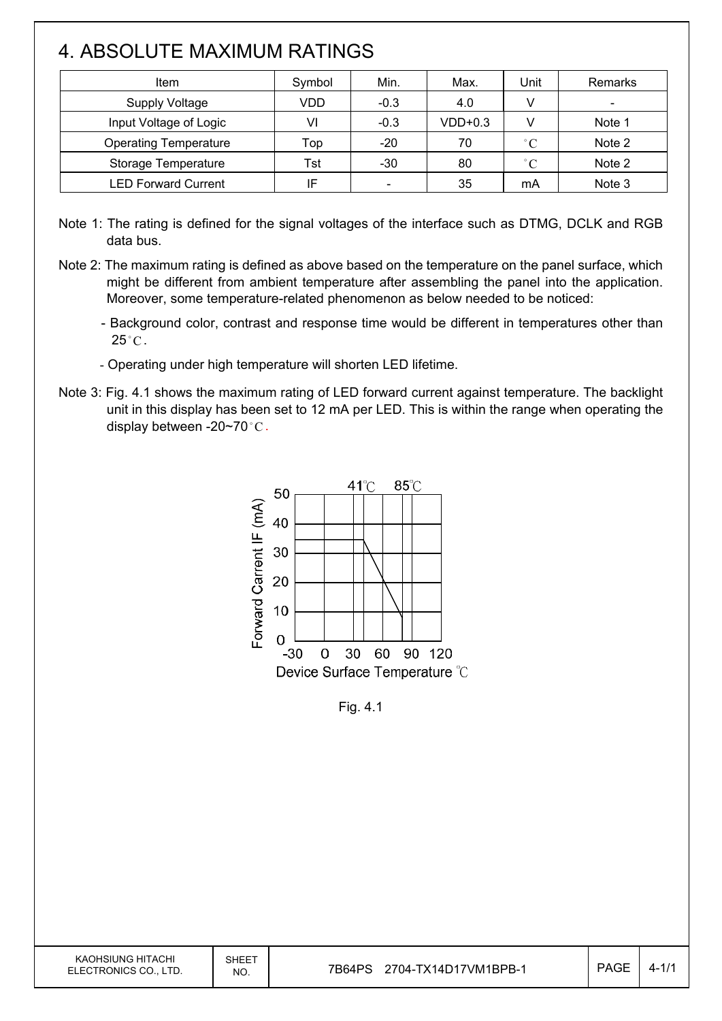# 4. ABSOLUTE MAXIMUM RATINGS

 $\overline{\phantom{a}}$ 

| <b>Item</b>                  | Symbol | Min.                         | Max.      | Unit        | Remarks |
|------------------------------|--------|------------------------------|-----------|-------------|---------|
| <b>Supply Voltage</b>        | VDD    | $-0.3$                       | 4.0       | V           |         |
| Input Voltage of Logic       | VI     | $-0.3$                       | $VDD+0.3$ |             | Note 1  |
| <b>Operating Temperature</b> | Top    | $-20$                        | 70        | $\degree$ C | Note 2  |
| Storage Temperature          | Tst    | $-30$                        | 80        | $\degree$ C | Note 2  |
| <b>LED Forward Current</b>   | ΙF     | $\qquad \qquad \blacksquare$ | 35        | mA          | Note 3  |

Note 1: The rating is defined for the signal voltages of the interface such as DTMG, DCLK and RGB data bus.

- Note 2: The maximum rating is defined as above based on the temperature on the panel surface, which might be different from ambient temperature after assembling the panel into the application. Moreover, some temperature-related phenomenon as below needed to be noticed:
	- Background color, contrast and response time would be different in temperatures other than  $25^{\circ}$ C.
	- Operating under high temperature will shorten LED lifetime.
- Note 3: Fig. 4.1 shows the maximum rating of LED forward current against temperature. The backlight unit in this display has been set to 12 mA per LED. This is within the range when operating the display between -20~70 $^{\circ}$ C.



Fig. 4.1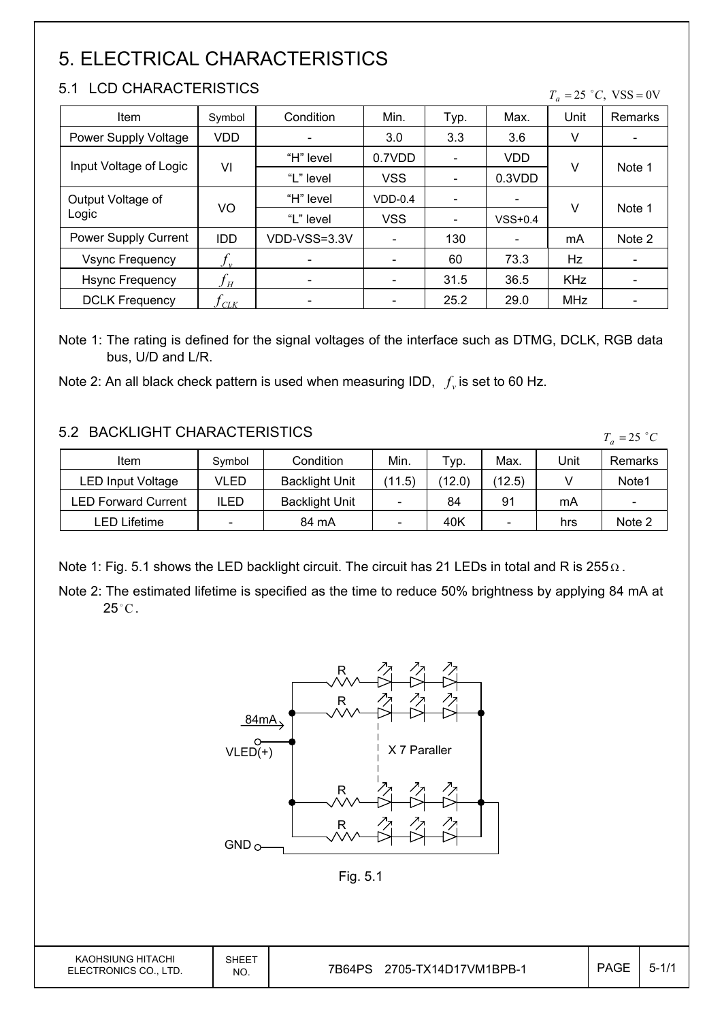# 5. ELECTRICAL CHARACTERISTICS

### 5.1 LCD CHARACTERISTICS

 $T_a = 25$  °C, VSS = 0V

| Item                   | Symbol                     | Condition    | Min.                     | Typ.                     | Max.      | Unit       | Remarks                      |  |
|------------------------|----------------------------|--------------|--------------------------|--------------------------|-----------|------------|------------------------------|--|
| Power Supply Voltage   | <b>VDD</b>                 |              | 3.0                      | 3.3                      | 3.6       | V          | $\qquad \qquad \blacksquare$ |  |
| Input Voltage of Logic |                            | "H" level    | 0.7VDD                   | $\overline{\phantom{a}}$ | VDD       |            |                              |  |
|                        | VI                         | "L" level    | <b>VSS</b>               | $\blacksquare$           | 0.3VDD    | V          | Note 1                       |  |
| Output Voltage of      |                            | "H" level    | $VDD-0.4$                | $\overline{\phantom{a}}$ |           |            | Note 1                       |  |
| Logic                  | VO                         | "L" level    | <b>VSS</b>               | $\overline{\phantom{a}}$ | $VSS+0.4$ | v          |                              |  |
| Power Supply Current   | <b>IDD</b>                 | VDD-VSS=3.3V | $\overline{\phantom{a}}$ | 130                      | -         | mA         | Note 2                       |  |
| <b>Vsync Frequency</b> |                            |              |                          | 60                       | 73.3      | <b>Hz</b>  |                              |  |
| <b>Hsync Frequency</b> | $f_{\scriptscriptstyle H}$ |              |                          | 31.5                     | 36.5      | <b>KHz</b> | $\overline{\phantom{a}}$     |  |
| <b>DCLK Frequency</b>  | $f_{\mathrm{CLK}}$         |              |                          | 25.2                     | 29.0      | <b>MHz</b> | $\overline{\phantom{a}}$     |  |

Note 1: The rating is defined for the signal voltages of the interface such as DTMG, DCLK, RGB data bus, U/D and L/R.

Note 2: An all black check pattern is used when measuring IDD,  $f_v$  is set to 60 Hz.

#### 5.2 BACKLIGHT CHARACTERISTICS

Item  $\vert$  Symbol | Condition | Min. | Typ. | Max. | Unit | Remarks LED Input Voltage  $\vert$  VLED  $\vert$  Backlight Unit  $\vert$  (11.5) (12.0) (12.5)  $\vert$  V  $\vert$  Note1 LED Forward Current | ILED | Backlight Unit |  $-$  | 84 | 91 | mA |  $-$ LED Lifetime  $\begin{vmatrix} - & \cdot & \cdot & 84 \text{ mA} \\ 0 & - & \cdot & \cdot & 40 \text{ K} \\ 0 & - & \cdot & \cdot & \cdot \end{vmatrix}$  hrs Note 2  $T_a = 25$  °C

Note 1: Fig. 5.1 shows the LED backlight circuit. The circuit has 21 LEDs in total and R is  $255\Omega$ .

Note 2: The estimated lifetime is specified as the time to reduce 50% brightness by applying 84 mA at  $25^{\circ}$ C.



Fig. 5.1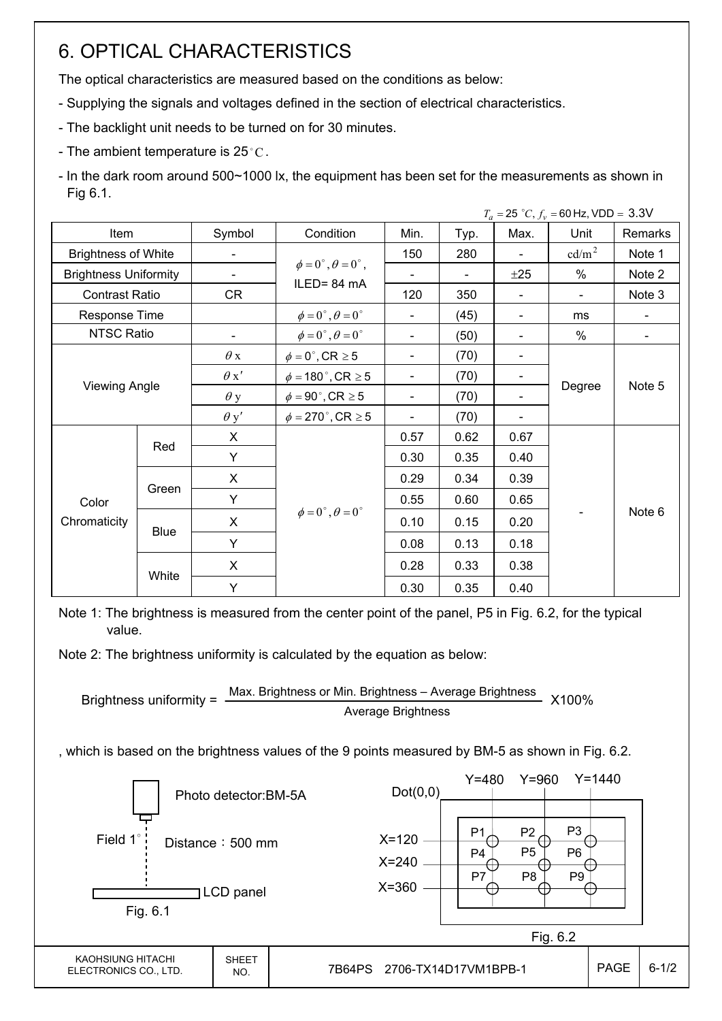# 6. OPTICAL CHARACTERISTICS

The optical characteristics are measured based on the conditions as below:

- Supplying the signals and voltages defined in the section of electrical characteristics.
- The backlight unit needs to be turned on for 30 minutes.
- The ambient temperature is 25 $^{\circ}$ C.

- In the dark room around 500~1000 lx, the equipment has been set for the measurements as shown in Fig 6.1.

|                              |                      |                          |                                          |                          | $T_a = 25 °C$ , $f_v = 60$ Hz, VDD = 3.3V |                          |                   |         |  |
|------------------------------|----------------------|--------------------------|------------------------------------------|--------------------------|-------------------------------------------|--------------------------|-------------------|---------|--|
| Item                         |                      | Symbol                   | Condition                                | Min.                     | Typ.                                      | Max.                     | Unit              | Remarks |  |
| <b>Brightness of White</b>   |                      |                          |                                          | 150                      | 280                                       |                          | cd/m <sup>2</sup> | Note 1  |  |
| <b>Brightness Uniformity</b> |                      |                          | $\phi = 0^{\circ}, \theta = 0^{\circ}$ , |                          |                                           | ±25                      | %                 | Note 2  |  |
| <b>Contrast Ratio</b>        |                      | <b>CR</b>                | ILED=84 mA                               | 120                      | 350                                       | $\blacksquare$           | $\blacksquare$    | Note 3  |  |
| Response Time                |                      |                          | $\phi = 0^{\circ}, \theta = 0^{\circ}$   | $\blacksquare$           | (45)                                      | $\overline{\phantom{0}}$ | ms                |         |  |
| <b>NTSC Ratio</b>            |                      | $\overline{\phantom{a}}$ | $\phi = 0^{\circ}, \theta = 0^{\circ}$   | $\blacksquare$           | (50)                                      | $\overline{\phantom{0}}$ | %                 |         |  |
|                              |                      | $\theta$ x               | $\phi = 0^\circ$ , CR $\geq 5$           | $\overline{\phantom{a}}$ | (70)                                      | -                        |                   |         |  |
|                              | <b>Viewing Angle</b> |                          | $\phi = 180$ °, CR $\geq 5$              | $\overline{\phantom{a}}$ | (70)                                      | $\blacksquare$           |                   | Note 5  |  |
|                              |                      |                          | $\phi = 90^\circ$ , CR $\geq 5$          | $\overline{\phantom{a}}$ | (70)                                      | $\overline{\phantom{0}}$ | Degree            |         |  |
|                              |                      | $\theta$ y'              | $\phi = 270$ °, CR $\geq 5$              | $\overline{\phantom{a}}$ | (70)                                      | $\overline{\phantom{0}}$ |                   |         |  |
|                              |                      | X                        |                                          | 0.57                     | 0.62                                      | 0.67                     |                   |         |  |
|                              | Red                  | Y                        |                                          | 0.30                     | 0.35                                      | 0.40                     |                   |         |  |
|                              |                      | X                        |                                          | 0.29                     | 0.34                                      | 0.39                     |                   |         |  |
| Color                        | Green                | Y                        |                                          | 0.55                     | 0.60                                      | 0.65                     |                   |         |  |
| Chromaticity                 |                      | X                        | $\phi = 0^{\circ}, \theta = 0^{\circ}$   | 0.10                     | 0.15                                      | 0.20                     |                   | Note 6  |  |
|                              | <b>Blue</b>          | Y                        |                                          | 0.08                     | 0.13                                      | 0.18                     |                   |         |  |
|                              |                      | X                        |                                          | 0.28                     | 0.33                                      | 0.38                     |                   |         |  |
|                              | White                | Y                        |                                          | 0.30                     | 0.35                                      | 0.40                     |                   |         |  |

Note 1: The brightness is measured from the center point of the panel, P5 in Fig. 6.2, for the typical value.

Note 2: The brightness uniformity is calculated by the equation as below:

Brightness uniformity = 
$$
\frac{\text{Max. Brightness or Min. Brightness} - \text{Average Brightness}}{\text{Average Brightness}}
$$
 X100%

, which is based on the brightness values of the 9 points measured by BM-5 as shown in Fig. 6.2.

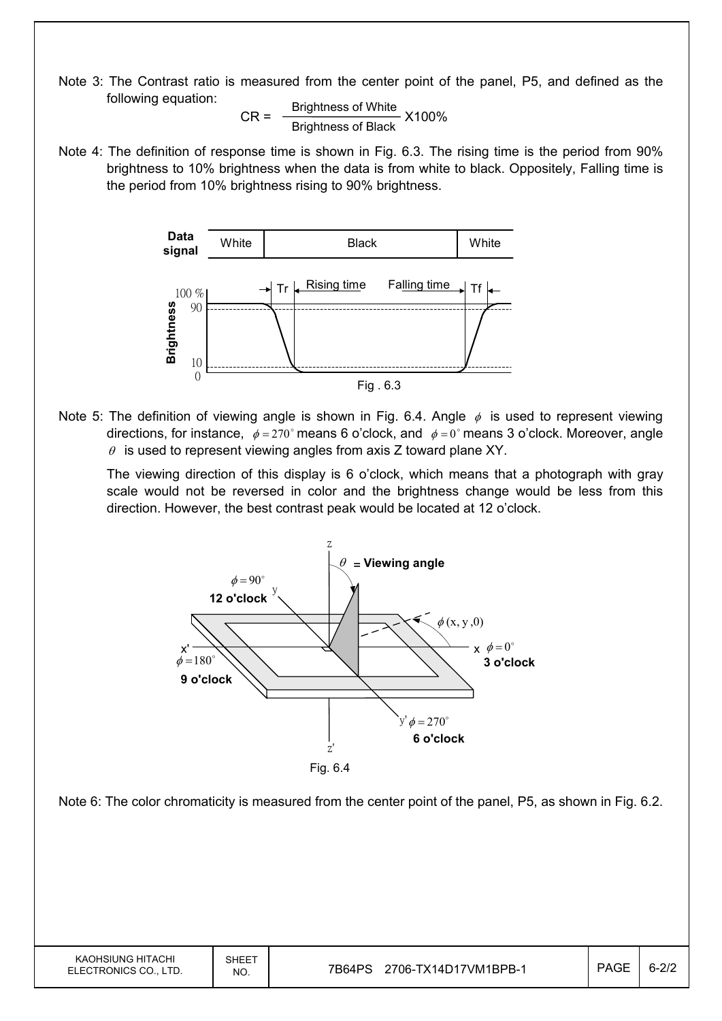Note 3: The Contrast ratio is measured from the center point of the panel, P5, and defined as the following equation:

$$
CR = \frac{Brighness of White}{Brightness of Black} \times 100\%
$$

Note 4: The definition of response time is shown in Fig. 6.3. The rising time is the period from 90% brightness to 10% brightness when the data is from white to black. Oppositely, Falling time is the period from 10% brightness rising to 90% brightness.



Note 5: The definition of viewing angle is shown in Fig. 6.4. Angle  $\phi$  is used to represent viewing directions, for instance,  $\phi = 270^\circ$  means 6 o'clock, and  $\phi = 0^\circ$  means 3 o'clock. Moreover, angle  $\theta$  is used to represent viewing angles from axis Z toward plane XY.

 The viewing direction of this display is 6 o'clock, which means that a photograph with gray scale would not be reversed in color and the brightness change would be less from this direction. However, the best contrast peak would be located at 12 o'clock.

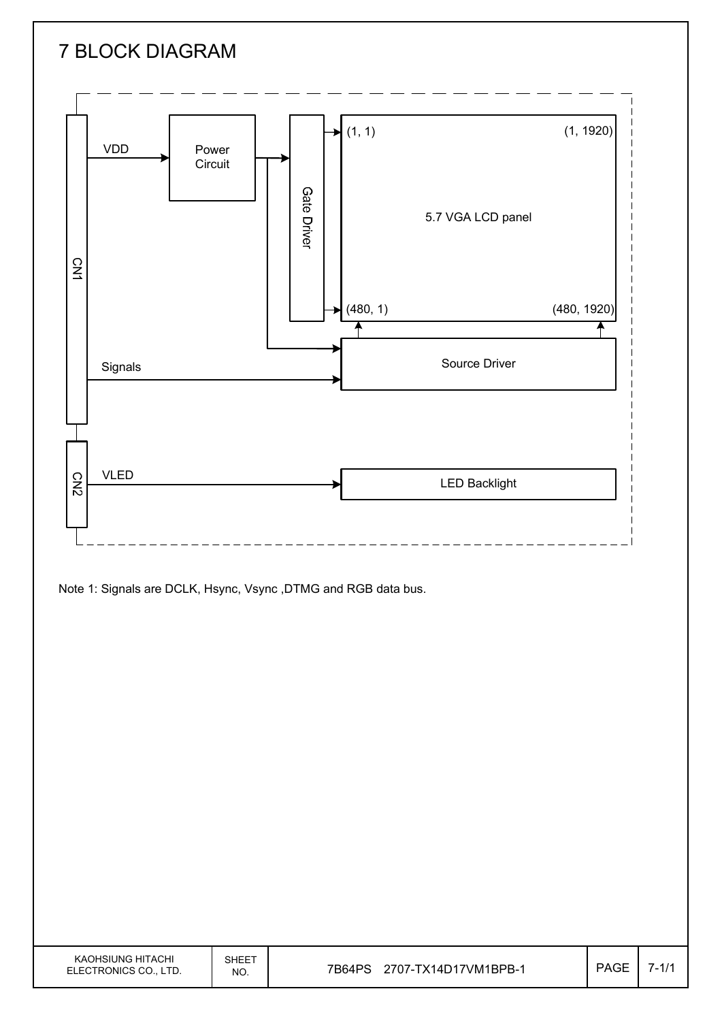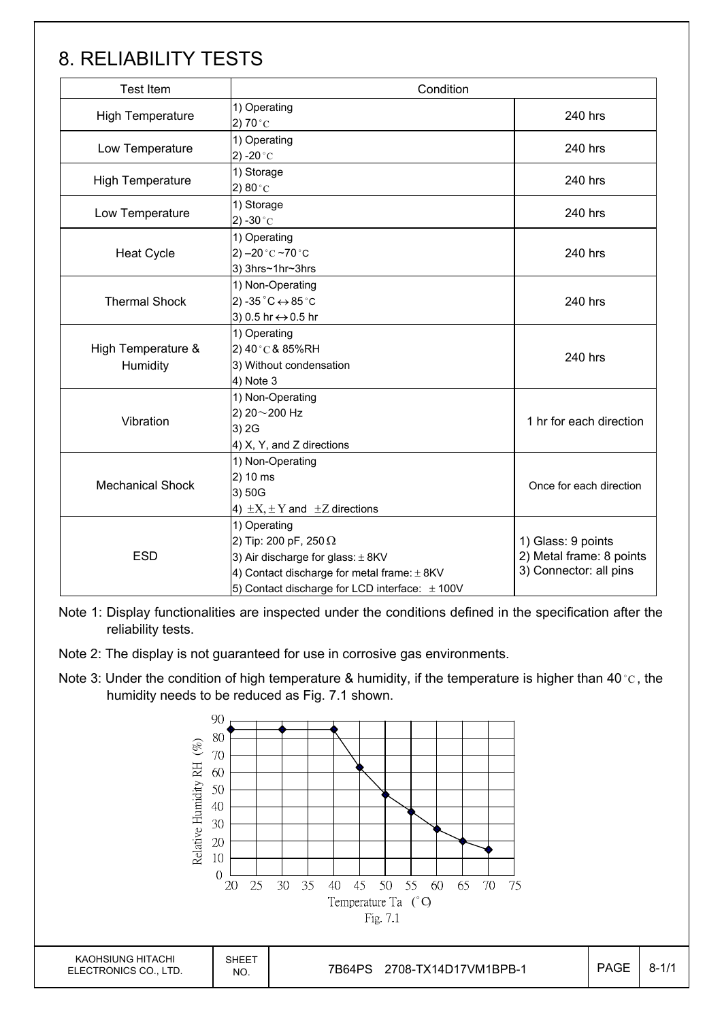# 8. RELIABILITY TESTS

| Test Item                      | Condition                                                                                                                                                                                 |                                                                          |  |  |  |
|--------------------------------|-------------------------------------------------------------------------------------------------------------------------------------------------------------------------------------------|--------------------------------------------------------------------------|--|--|--|
| <b>High Temperature</b>        | 1) Operating<br>2) 70 $^{\circ}$ C                                                                                                                                                        | 240 hrs                                                                  |  |  |  |
| Low Temperature                | 1) Operating<br>2) -20 $^{\circ}$ C                                                                                                                                                       | 240 hrs                                                                  |  |  |  |
| <b>High Temperature</b>        | 1) Storage<br>2) $80^{\circ}$ C                                                                                                                                                           | 240 hrs                                                                  |  |  |  |
| Low Temperature                | 1) Storage<br>$(2) -30^{\circ}C$                                                                                                                                                          | 240 hrs                                                                  |  |  |  |
| <b>Heat Cycle</b>              | 1) Operating<br>2) $-20$ °C $-70$ °C<br>3) 3hrs~1hr~3hrs                                                                                                                                  | 240 hrs                                                                  |  |  |  |
| <b>Thermal Shock</b>           | 240 hrs                                                                                                                                                                                   |                                                                          |  |  |  |
| High Temperature &<br>Humidity | 1) Operating<br>2) 40°C & 85%RH<br>3) Without condensation<br>4) Note 3                                                                                                                   | 240 hrs                                                                  |  |  |  |
| Vibration                      | 1) Non-Operating<br>2) 20~200 Hz<br>3) 2G<br>4) X, Y, and Z directions                                                                                                                    | 1 hr for each direction                                                  |  |  |  |
| <b>Mechanical Shock</b>        | 1) Non-Operating<br>2) 10 ms<br>3) 50G<br>4) $\pm X$ , $\pm Y$ and $\pm Z$ directions                                                                                                     |                                                                          |  |  |  |
| <b>ESD</b>                     | 1) Operating<br>2) Tip: 200 pF, 250 $\Omega$<br>3) Air discharge for glass: $\pm$ 8KV<br>4) Contact discharge for metal frame: ±8KV<br>5) Contact discharge for LCD interface: $\pm$ 100V | 1) Glass: 9 points<br>2) Metal frame: 8 points<br>3) Connector: all pins |  |  |  |

Note 1: Display functionalities are inspected under the conditions defined in the specification after the reliability tests.

Note 2: The display is not guaranteed for use in corrosive gas environments.

Note 3: Under the condition of high temperature & humidity, if the temperature is higher than 40 °C, the humidity needs to be reduced as Fig. 7.1 shown.

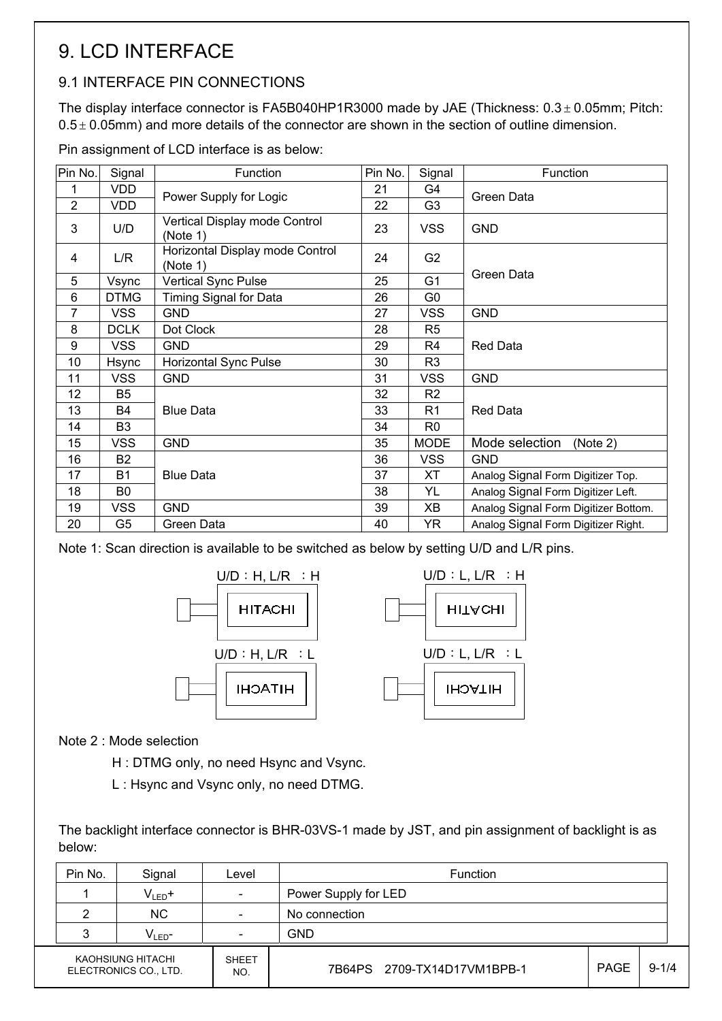# 9. LCD INTERFACE

### 9.1 INTERFACE PIN CONNECTIONS

The display interface connector is FA5B040HP1R3000 made by JAE (Thickness:  $0.3 \pm 0.05$ mm; Pitch:  $0.5 \pm 0.05$ mm) and more details of the connector are shown in the section of outline dimension.

Pin assignment of LCD interface is as below:

| Pin No.        | Signal         | Function                                    | Pin No. | Signal         | Function                             |  |  |  |  |
|----------------|----------------|---------------------------------------------|---------|----------------|--------------------------------------|--|--|--|--|
|                | <b>VDD</b>     |                                             | 21      | G4             |                                      |  |  |  |  |
| $\overline{2}$ | <b>VDD</b>     | Power Supply for Logic                      | 22      | G <sub>3</sub> | Green Data                           |  |  |  |  |
| 3              | U/D            | Vertical Display mode Control<br>(Note 1)   | 23      | <b>VSS</b>     | <b>GND</b>                           |  |  |  |  |
| 4              | L/R            | Horizontal Display mode Control<br>(Note 1) | 24      | G <sub>2</sub> |                                      |  |  |  |  |
| 5              | Vsync          | <b>Vertical Sync Pulse</b>                  | 25      | G <sub>1</sub> | Green Data                           |  |  |  |  |
| 6              | <b>DTMG</b>    | Timing Signal for Data                      | 26      | G <sub>0</sub> |                                      |  |  |  |  |
| 7              | <b>VSS</b>     | <b>GND</b>                                  | 27      | <b>VSS</b>     | <b>GND</b>                           |  |  |  |  |
| 8              | <b>DCLK</b>    | Dot Clock                                   | 28      | R <sub>5</sub> |                                      |  |  |  |  |
| 9              | <b>VSS</b>     | <b>GND</b>                                  | 29      | R <sub>4</sub> | <b>Red Data</b>                      |  |  |  |  |
| 10             | Hsync          | Horizontal Sync Pulse                       | 30      | R <sub>3</sub> |                                      |  |  |  |  |
| 11             | <b>VSS</b>     | <b>GND</b>                                  | 31      | <b>VSS</b>     | <b>GND</b>                           |  |  |  |  |
| 12             | B <sub>5</sub> |                                             | 32      | R <sub>2</sub> |                                      |  |  |  |  |
| 13             | <b>B4</b>      | <b>Blue Data</b>                            | 33      | R <sub>1</sub> | <b>Red Data</b>                      |  |  |  |  |
| 14             | B <sub>3</sub> |                                             | 34      | R <sub>0</sub> |                                      |  |  |  |  |
| 15             | <b>VSS</b>     | <b>GND</b>                                  | 35      | <b>MODE</b>    | Mode selection<br>(Note 2)           |  |  |  |  |
| 16             | B <sub>2</sub> |                                             | 36      | <b>VSS</b>     | <b>GND</b>                           |  |  |  |  |
| 17             | <b>B1</b>      | <b>Blue Data</b>                            | 37      | <b>XT</b>      | Analog Signal Form Digitizer Top.    |  |  |  |  |
| 18             | B0             |                                             | 38      | YL             | Analog Signal Form Digitizer Left.   |  |  |  |  |
| 19             | <b>VSS</b>     | <b>GND</b>                                  | 39      | XB             | Analog Signal Form Digitizer Bottom. |  |  |  |  |
| 20             | G5             | Green Data                                  | 40      | YR.            | Analog Signal Form Digitizer Right.  |  |  |  |  |

Note 1: Scan direction is available to be switched as below by setting U/D and L/R pins.





#### Note 2 : Mode selection

H : DTMG only, no need Hsync and Vsync.

L : Hsync and Vsync only, no need DTMG.

The backlight interface connector is BHR-03VS-1 made by JST, and pin assignment of backlight is as below:

| Pin No. | Signal                                     | Level                    | Function                    |             |           |  |  |
|---------|--------------------------------------------|--------------------------|-----------------------------|-------------|-----------|--|--|
|         | $V_{LED}$ +                                | $\overline{\phantom{a}}$ | Power Supply for LED        |             |           |  |  |
| 2       | <b>NC</b>                                  | $\overline{\phantom{a}}$ | No connection               |             |           |  |  |
| 3       | $V_{LED}$ -                                | $\overline{\phantom{a}}$ | <b>GND</b>                  |             |           |  |  |
|         | KAOHSIUNG HITACHI<br>ELECTRONICS CO., LTD. | <b>SHEET</b><br>NO.      | 7B64PS 2709-TX14D17VM1BPB-1 | <b>PAGE</b> | $9 - 1/4$ |  |  |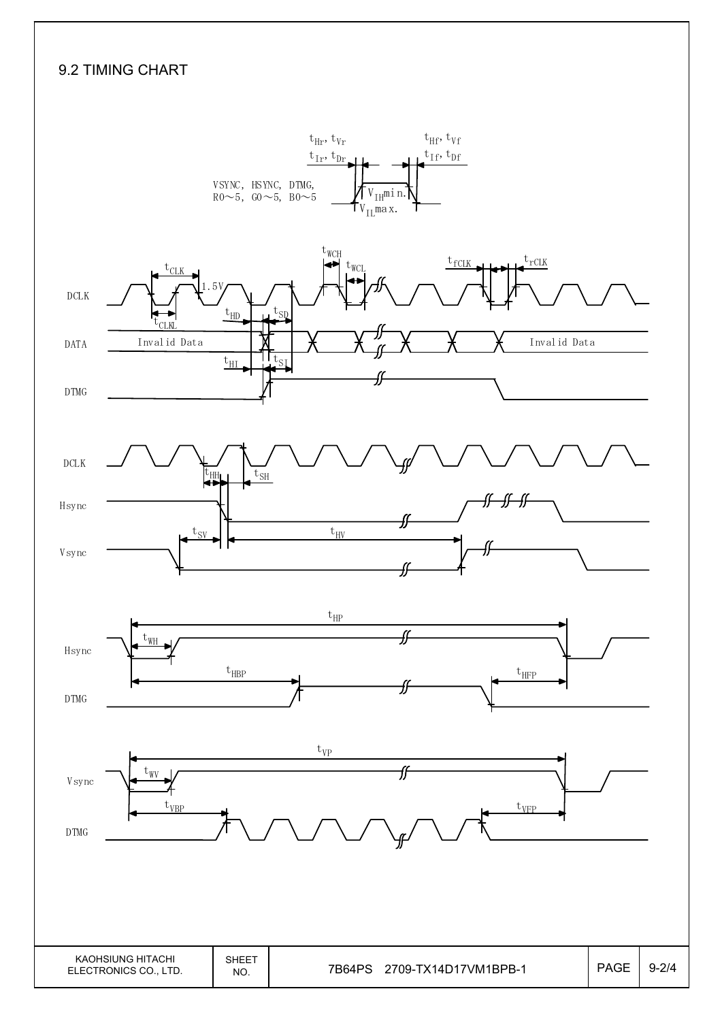#### 9.2 TIMING CHART

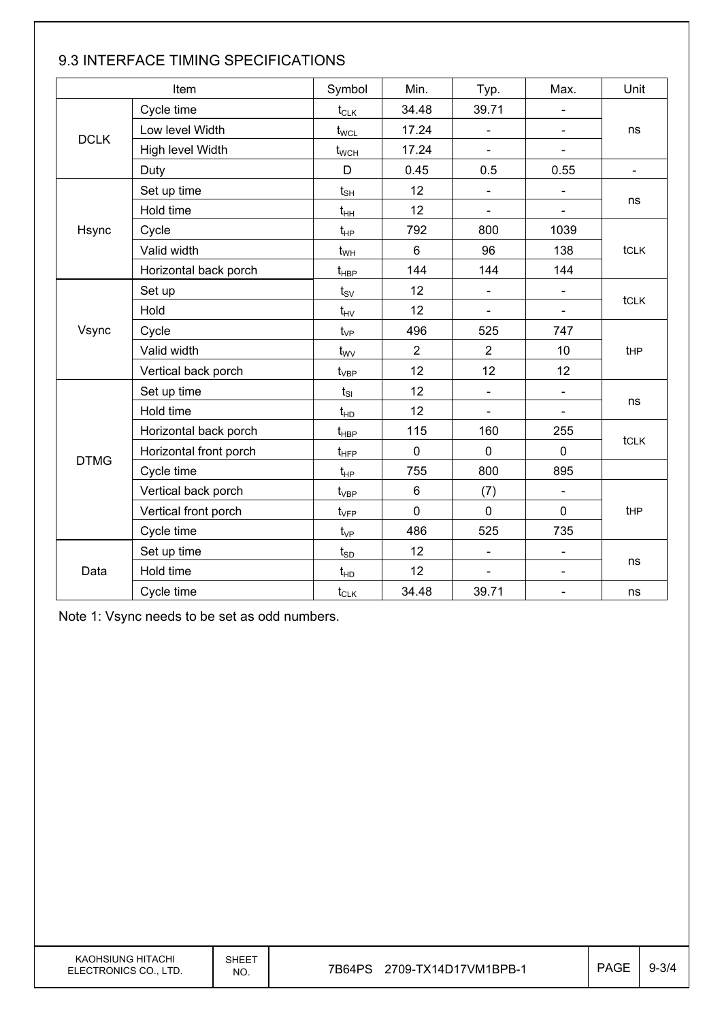|             | Item                   | Symbol                      | Min.           | Typ.                     | Max.                     | Unit           |  |  |  |
|-------------|------------------------|-----------------------------|----------------|--------------------------|--------------------------|----------------|--|--|--|
|             | Cycle time             | $t_{CLK}$                   | 34.48          | 39.71                    |                          |                |  |  |  |
| <b>DCLK</b> | Low level Width        | $t_{\text{WCL}}$            | 17.24          | $\blacksquare$           |                          | ns             |  |  |  |
|             | High level Width       | $t_{\text{WCH}}$            | 17.24          | $\blacksquare$           |                          |                |  |  |  |
|             | Duty                   | D                           | 0.45           | 0.5                      | 0.55                     | $\blacksquare$ |  |  |  |
|             | Set up time            | $t_{\scriptstyle\text{SH}}$ | 12             | $\blacksquare$           |                          |                |  |  |  |
|             | Hold time              | $t_{HH}$                    | 12             | $\overline{\phantom{0}}$ | $\blacksquare$           | ns             |  |  |  |
| Hsync       | Cycle                  | $t_{HP}$                    | 792            | 800                      | 1039                     |                |  |  |  |
|             | Valid width            | $t_{WH}$                    | 6              | 96                       | 138                      | tclk           |  |  |  |
|             | Horizontal back porch  | $t_{\sf HBP}$               | 144            | 144                      | 144                      |                |  |  |  |
|             | Set up                 | $t_{\rm SV}$                | 12             | $\blacksquare$           | $\overline{\phantom{0}}$ |                |  |  |  |
|             | Hold                   | $t_{\text{HV}}$             | 12             | ä,                       |                          | tclk           |  |  |  |
| Vsync       | Cycle                  | $t_{VP}$                    | 496            | 525                      | 747                      |                |  |  |  |
|             | Valid width            | $t_{\rm WV}$                | $\overline{2}$ | $\overline{2}$           | 10                       | tHP            |  |  |  |
|             | Vertical back porch    | $t_{\rm VBP}$               | 12             | 12                       | 12                       |                |  |  |  |
|             | Set up time            | $t_{SI}$                    | 12             | $\blacksquare$           | ÷,                       |                |  |  |  |
|             | Hold time              | $t_{HD}$                    | 12             | $\blacksquare$           |                          | ns             |  |  |  |
|             | Horizontal back porch  | $t_{\sf HBP}$               | 115            | 160                      | 255                      |                |  |  |  |
| <b>DTMG</b> | Horizontal front porch | $t_{\text{HFP}}$            | 0              | $\mathbf 0$              | $\mathbf 0$              | tclk           |  |  |  |
|             | Cycle time             | $t_{HP}$                    | 755            | 800                      | 895                      |                |  |  |  |
|             | Vertical back porch    | $t_{\rm VBP}$               | 6              | (7)                      |                          |                |  |  |  |
|             | Vertical front porch   | $t_{\rm VFP}$               | $\overline{0}$ | $\mathbf 0$              | $\mathbf 0$              | tHP            |  |  |  |
|             | Cycle time             | $t_{VP}$                    | 486            | 525                      | 735                      |                |  |  |  |
|             | Set up time            | $t_{SD}$                    | 12             | $\blacksquare$           |                          |                |  |  |  |
| Data        | Hold time              | $t_{HD}$                    | 12             | $\blacksquare$           | $\blacksquare$           | ns             |  |  |  |
|             | Cycle time             | $t_{CLK}$                   | 34.48          | 39.71                    | $\overline{\phantom{a}}$ | ns             |  |  |  |

### 9.3 INTERFACE TIMING SPECIFICATIONS

Note 1: Vsync needs to be set as odd numbers.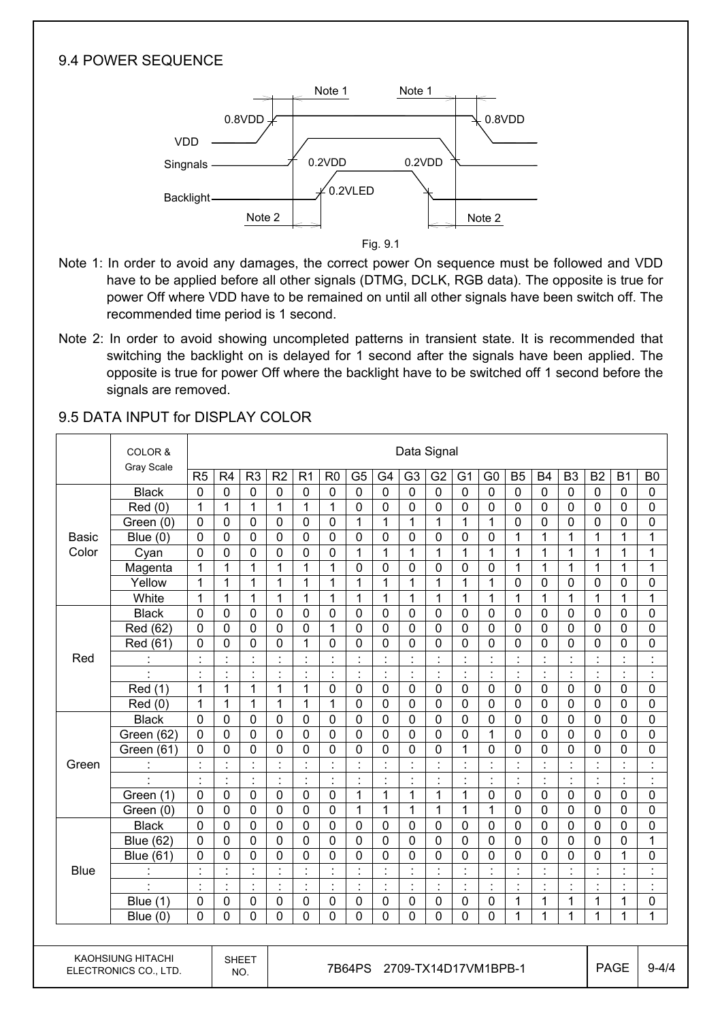#### 9.4 POWER SEQUENCE



Fig. 9.1

- Note 1: In order to avoid any damages, the correct power On sequence must be followed and VDD have to be applied before all other signals (DTMG, DCLK, RGB data). The opposite is true for power Off where VDD have to be remained on until all other signals have been switch off. The recommended time period is 1 second.
- Note 2: In order to avoid showing uncompleted patterns in transient state. It is recommended that switching the backlight on is delayed for 1 second after the signals have been applied. The opposite is true for power Off where the backlight have to be switched off 1 second before the signals are removed.

|              | COLOR &                                           |                      | Data Signal          |                      |                      |                      |                |                      |                      |                |                |                      |                      |                |                |                |                      |                      |                      |
|--------------|---------------------------------------------------|----------------------|----------------------|----------------------|----------------------|----------------------|----------------|----------------------|----------------------|----------------|----------------|----------------------|----------------------|----------------|----------------|----------------|----------------------|----------------------|----------------------|
|              | <b>Gray Scale</b>                                 | R5                   | R <sub>4</sub>       | R <sub>3</sub>       | R <sub>2</sub>       | R <sub>1</sub>       | R <sub>0</sub> | G <sub>5</sub>       | G4                   | G <sub>3</sub> | G <sub>2</sub> | G <sub>1</sub>       | G <sub>0</sub>       | <b>B5</b>      | <b>B4</b>      | B <sub>3</sub> | <b>B2</b>            | B <sub>1</sub>       | B <sub>0</sub>       |
|              | <b>Black</b>                                      | $\mathbf 0$          | 0                    | $\mathbf 0$          | $\mathbf 0$          | 0                    | $\mathbf 0$    | $\mathbf 0$          | $\mathbf 0$          | $\mathbf 0$    | 0              | $\mathbf 0$          | $\mathbf 0$          | $\mathbf 0$    | $\mathbf 0$    | $\mathbf 0$    | $\mathbf 0$          | $\mathbf 0$          | 0                    |
|              | Red(0)                                            | 1                    | $\mathbf 1$          | 1                    | $\mathbf{1}$         | 1                    | $\mathbf 1$    | $\mathbf 0$          | $\mathbf 0$          | $\mathbf 0$    | 0              | $\mathbf 0$          | $\pmb{0}$            | $\mathbf 0$    | 0              | $\mathbf 0$    | $\mathbf 0$          | $\mathbf 0$          | $\mathbf 0$          |
|              | Green (0)                                         | 0                    | 0                    | $\mathbf 0$          | $\mathbf 0$          | 0                    | $\mathbf 0$    | 1                    | $\mathbf{1}$         | 1              | $\mathbf{1}$   | $\mathbf{1}$         | $\mathbf{1}$         | $\mathbf 0$    | $\mathbf 0$    | $\mathbf 0$    | $\mathbf 0$          | $\mathbf 0$          | $\mathbf 0$          |
| <b>Basic</b> | Blue $(0)$                                        | 0                    | $\mathbf 0$          | $\mathbf 0$          | $\mathbf 0$          | $\mathbf 0$          | $\mathbf 0$    | $\mathbf 0$          | $\mathbf 0$          | $\mathbf 0$    | 0              | $\mathbf 0$          | $\mathbf 0$          | $\mathbf 1$    | $\mathbf{1}$   | 1              | $\mathbf 1$          | $\mathbf{1}$         | $\mathbf 1$          |
| Color        | Cyan                                              | 0                    | $\mathbf 0$          | $\mathbf 0$          | $\mathbf 0$          | 0                    | $\mathbf 0$    | 1                    | $\mathbf{1}$         | 1              | $\mathbf{1}$   | 1                    | 1                    | $\mathbf 1$    | 1              | 1              | 1                    | 1                    | $\mathbf 1$          |
|              | Magenta                                           | 1                    | $\mathbf 1$          | 1                    | $\mathbf{1}$         | 1                    | $\mathbf 1$    | 0                    | $\mathbf 0$          | 0              | 0              | $\mathbf 0$          | $\mathbf 0$          | $\overline{1}$ | $\mathbf{1}$   | 1              | 1                    | 1                    | $\mathbf 1$          |
|              | Yellow                                            | 1                    | 1                    | 1                    | $\mathbf{1}$         | 1                    | 1              | 1                    | $\mathbf{1}$         | 1              | 1              | 1                    | $\mathbf{1}$         | $\mathbf 0$    | 0              | $\mathbf 0$    | $\mathbf 0$          | $\mathbf 0$          | 0                    |
|              | White                                             | 1                    | 1                    | 1                    | $\mathbf{1}$         | 1                    | 1              | 1                    | 1                    | 1              | $\mathbf{1}$   | 1                    | 1                    | 1              | $\mathbf{1}$   | 1              | 1                    | $\mathbf{1}$         | 1                    |
|              | <b>Black</b>                                      | $\mathbf 0$          | 0                    | $\mathbf 0$          | $\mathbf 0$          | 0                    | $\mathbf 0$    | $\mathbf 0$          | $\mathbf 0$          | $\mathbf 0$    | 0              | $\mathbf 0$          | $\mathbf 0$          | $\mathbf 0$    | 0              | $\mathbf 0$    | $\mathbf 0$          | $\mathbf 0$          | $\mathbf 0$          |
|              | Red (62)                                          | $\overline{0}$       | $\mathbf 0$          | $\mathbf 0$          | $\overline{0}$       | $\mathbf 0$          | $\mathbf{1}$   | $\mathbf 0$          | $\mathbf 0$          | $\mathbf 0$    | 0              | $\mathbf 0$          | $\mathbf 0$          | $\overline{0}$ | 0              | $\mathbf 0$    | $\overline{0}$       | $\mathbf 0$          | $\mathbf 0$          |
|              | Red (61)                                          | $\overline{0}$       | $\overline{0}$       | $\mathbf 0$          | $\overline{0}$       | $\mathbf{1}$         | $\mathbf 0$    | $\overline{0}$       | $\mathbf 0$          | $\overline{0}$ | $\overline{0}$ | $\overline{0}$       | 0                    | $\overline{0}$ | 0              | $\overline{0}$ | $\overline{0}$       | $\overline{0}$       | $\overline{0}$       |
| Red          |                                                   | Ì.                   | $\ddot{\cdot}$       | $\ddot{\phantom{a}}$ | $\ddot{\cdot}$       | $\ddot{\cdot}$       |                | $\ddot{\cdot}$       | $\ddot{\cdot}$       | ċ              | $\ddot{\cdot}$ |                      | Ì.                   | ł,             | $\ddot{\cdot}$ | $\ddot{\cdot}$ |                      | $\ddot{\cdot}$       | $\ddot{\phantom{a}}$ |
|              |                                                   | Ì.                   | $\ddot{\cdot}$       | ċ                    | $\ddot{\phantom{a}}$ | $\ddot{\cdot}$       | $\ddot{\cdot}$ | Ì.                   | $\ddot{\cdot}$       | t              | ċ              | $\ddot{\phantom{a}}$ | Ì.                   | Ì.             | $\ddot{\cdot}$ | $\ddot{\cdot}$ | ċ                    | $\ddot{\phantom{a}}$ | Ì.                   |
|              | Red (1)                                           | $\mathbf{1}$         | 1                    | 1                    | $\mathbf{1}$         | 1                    | $\mathbf 0$    | $\mathbf 0$          | $\mathbf 0$          | $\mathbf 0$    | 0              | $\mathbf 0$          | $\mathbf 0$          | $\mathbf 0$    | $\mathbf 0$    | $\mathbf 0$    | $\mathbf 0$          | $\mathbf 0$          | $\mathbf 0$          |
|              | Red(0)                                            | 1                    | 1                    | 1                    | $\mathbf{1}$         | $\mathbf{1}$         | $\mathbf{1}$   | $\mathbf 0$          | $\mathbf 0$          | $\mathbf 0$    | 0              | $\mathbf 0$          | $\mathbf 0$          | $\mathbf 0$    | $\mathbf 0$    | $\mathbf 0$    | $\mathbf 0$          | $\mathbf 0$          | $\mathbf 0$          |
|              | <b>Black</b>                                      | $\mathbf 0$          | $\mathbf 0$          | $\mathbf 0$          | $\mathbf 0$          | $\mathbf 0$          | $\mathbf 0$    | $\mathbf 0$          | $\mathbf 0$          | $\mathbf 0$    | 0              | $\mathbf 0$          | $\mathbf 0$          | $\mathbf 0$    | $\mathbf 0$    | $\mathbf 0$    | $\mathbf 0$          | $\mathbf 0$          | $\overline{0}$       |
|              | Green (62)                                        | $\mathbf 0$          | $\mathbf 0$          | $\mathbf 0$          | $\mathbf 0$          | $\mathbf 0$          | $\mathbf 0$    | $\mathbf 0$          | $\mathbf 0$          | $\mathbf 0$    | 0              | $\overline{0}$       | $\mathbf{1}$         | $\mathbf 0$    | 0              | $\mathbf 0$    | $\mathbf 0$          | $\mathbf 0$          | $\overline{0}$       |
|              | Green (61)                                        | 0                    | $\mathbf 0$          | $\mathbf 0$          | $\mathbf 0$          | 0                    | $\mathbf 0$    | 0                    | 0                    | 0              | 0              | 1                    | $\mathbf 0$          | $\mathbf 0$    | 0              | $\mathbf 0$    | $\overline{0}$       | $\overline{0}$       | $\mathbf 0$          |
| Green        | ÷                                                 | $\cdot$              | $\ddot{\cdot}$       | $\blacksquare$       | $\cdot$              | $\cdot$              |                | $\cdot$              | $\cdot$              | $\blacksquare$ | $\cdot$        |                      | $\blacksquare$       | $\blacksquare$ | $\ddot{\cdot}$ | $\cdot$        |                      | $\cdot$              | $\cdot$              |
|              | $\ddot{\phantom{a}}$                              | $\blacksquare$       | $\blacksquare$       | $\blacksquare$       | $\cdot$              | $\blacksquare$       | $\cdot$        | $\cdot$              | $\cdot$              | $\blacksquare$ | $\cdot$        | $\cdot$              | $\blacksquare$       | $\blacksquare$ | $\blacksquare$ | $\cdot$        | $\ddot{\phantom{a}}$ | $\cdot$              | $\cdot$              |
|              | Green (1)                                         | 0                    | $\mathbf 0$          | $\mathbf 0$          | $\mathbf 0$          | 0                    | $\mathbf 0$    | 1                    | $\mathbf 1$          | 1              | 1              | 1                    | $\mathbf 0$          | $\mathbf 0$    | 0              | $\mathbf 0$    | $\mathbf 0$          | 0                    | $\mathbf 0$          |
|              | Green (0)                                         | 0                    | $\mathbf 0$          | $\mathbf 0$          | $\mathbf 0$          | 0                    | $\mathbf 0$    | 1                    | $\mathbf{1}$         | 1              | 1              | 1                    | 1                    | $\mathbf 0$    | $\mathbf 0$    | $\mathbf 0$    | $\mathbf 0$          | 0                    | 0                    |
|              | <b>Black</b>                                      | 0                    | $\mathbf 0$          | $\mathbf 0$          | $\mathbf 0$          | 0                    | $\mathbf 0$    | $\mathbf 0$          | $\mathbf 0$          | $\mathbf 0$    | 0              | 0                    | $\mathbf 0$          | $\mathbf 0$    | $\mathbf 0$    | $\mathbf 0$    | $\mathbf 0$          | 0                    | 0                    |
|              | <b>Blue (62)</b>                                  | 0                    | $\mathbf 0$          | $\mathbf 0$          | $\mathbf 0$          | 0                    | $\mathbf 0$    | 0                    | $\mathbf 0$          | $\mathbf 0$    | $\mathbf 0$    | 0                    | $\mathbf 0$          | 0              | 0              | $\mathbf 0$    | $\mathbf 0$          | 0                    | $\mathbf 1$          |
|              | <b>Blue (61)</b>                                  | 0                    | 0                    | $\mathbf 0$          | $\mathbf 0$          | 0                    | $\mathbf 0$    | 0                    | 0                    | $\mathbf 0$    | 0              | 0                    | $\mathbf 0$          | $\mathbf 0$    | 0              | $\mathbf 0$    | $\mathbf 0$          | $\mathbf{1}$         | 0                    |
| <b>Blue</b>  |                                                   | $\ddot{\phantom{a}}$ | $\ddot{\cdot}$       | ċ                    | $\ddot{\cdot}$       | $\ddot{\phantom{a}}$ | $\cdot$        | $\ddot{\phantom{a}}$ | $\ddot{\phantom{a}}$ | ċ              | $\ddot{\cdot}$ | $\ddot{\cdot}$       | Ì.                   | $\ddot{\cdot}$ | $\ddot{\cdot}$ | $\ddot{\cdot}$ | ċ                    | $\ddot{\cdot}$       | Ì.                   |
|              |                                                   | $\ddot{\cdot}$       | $\ddot{\phantom{a}}$ | ÷,                   | $\ddot{\cdot}$       | Ì.                   | $\ddot{\cdot}$ | ÷,                   | $\ddot{\cdot}$       | ÷,             | $\ddot{\cdot}$ | $\ddot{\cdot}$       | Ì.                   | ł,             | $\ddot{\cdot}$ | $\ddot{\cdot}$ | ċ                    | $\ddot{\cdot}$       | $\ddot{\cdot}$       |
|              | Blue $(1)$                                        | 0                    | $\pmb{0}$            | $\mathbf 0$          | 0                    | $\pmb{0}$            | $\mathbf 0$    | 0                    | $\pmb{0}$            | $\mathbf 0$    | 0              | $\mathbf 0$          | 0                    | 1              | 1              | 1              | 1                    | 1                    | 0                    |
|              | Blue $(0)$                                        | $\mathbf 0$          | 0                    | $\mathbf 0$          | 0                    | 0                    | 0              | $\mathbf 0$          | 0                    | 0              | 0              | 0                    | 0                    | 1              | $\mathbf{1}$   | 1              | 1                    | 1                    | $\mathbf{1}$         |
|              |                                                   |                      |                      |                      |                      |                      |                |                      |                      |                |                |                      |                      |                |                |                |                      |                      |                      |
|              | <b>KAOHSIUNG HITACHI</b><br>ELECTRONICS CO., LTD. |                      |                      | <b>SHEET</b><br>NO.  |                      |                      |                | 7B64PS               |                      |                |                |                      | 2709-TX14D17VM1BPB-1 |                |                |                |                      | <b>PAGE</b>          | $9 - 4/4$            |

#### 9.5 DATA INPUT for DISPLAY COLOR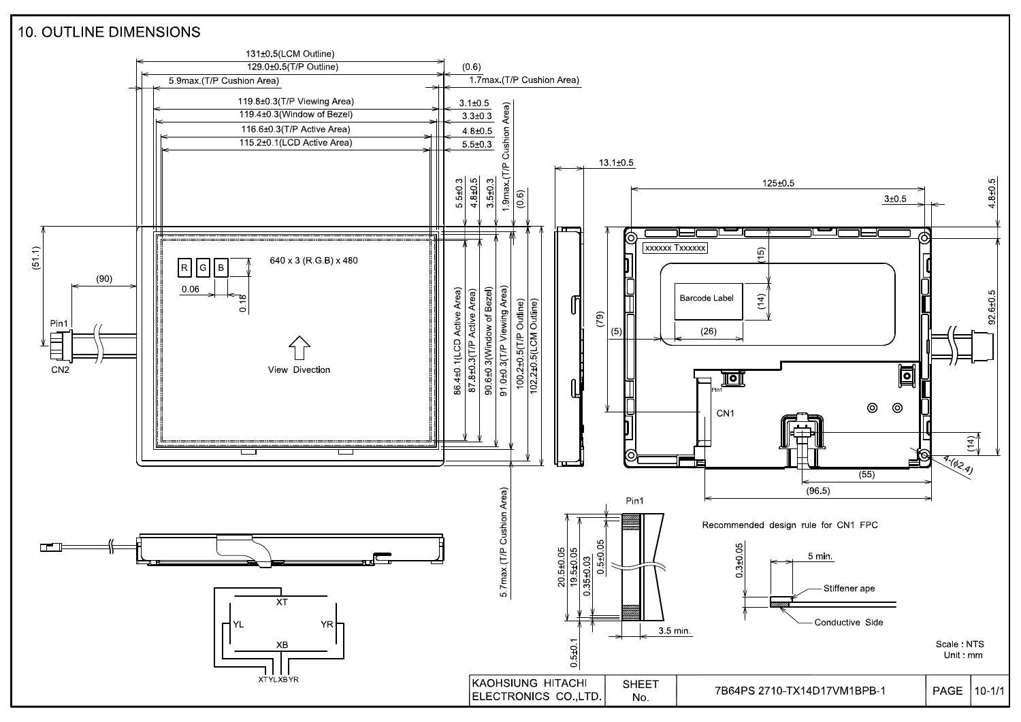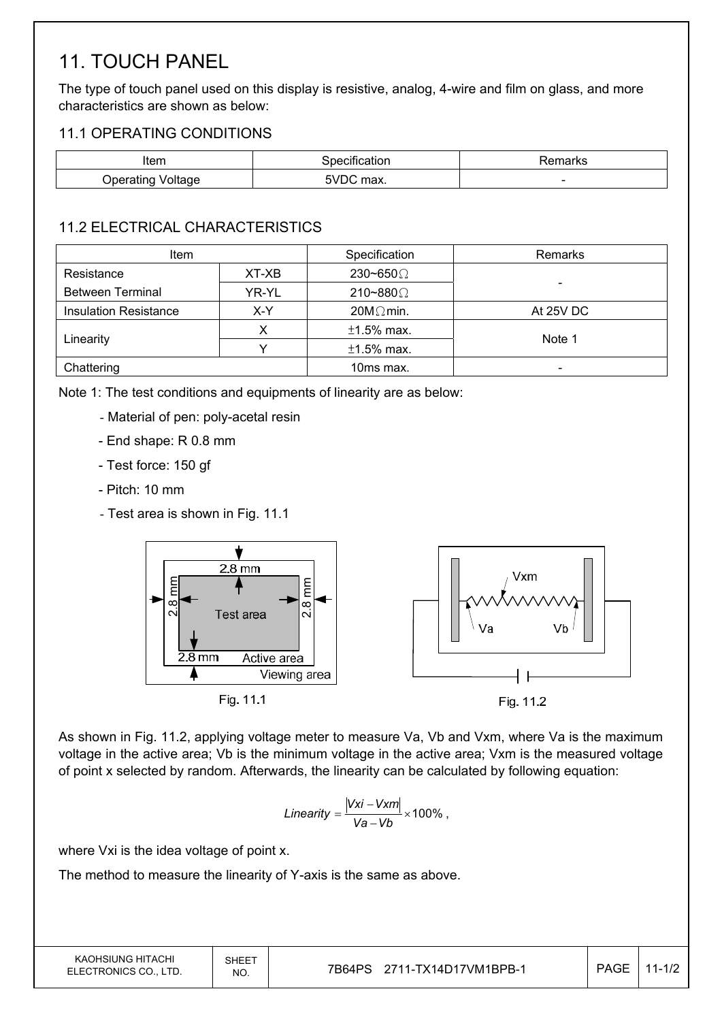# 11. TOUCH PANEL

The type of touch panel used on this display is resistive, analog, 4-wire and film on glass, and more characteristics are shown as below:

#### 11.1 OPERATING CONDITIONS

| Item              | <u>ecation</u><br>∍ner | ≅marks |
|-------------------|------------------------|--------|
| Operating Voltage | 5\/F<br>max.<br>_____  | -      |

#### 11.2 ELECTRICAL CHARACTERISTICS

| <b>Item</b>                  |       | Specification    | Remarks   |  |
|------------------------------|-------|------------------|-----------|--|
| Resistance<br>XT-XB          |       | 230~650 $\Omega$ |           |  |
| <b>Between Terminal</b>      | YR-YL | 210~880 $\Omega$ |           |  |
| <b>Insulation Resistance</b> | X-Y   | $20M\Omega$ min. | At 25V DC |  |
|                              |       | $±1.5\%$ max.    | Note 1    |  |
| Linearity                    |       | $±1.5\%$ max.    |           |  |
| Chattering                   |       | 10ms max.        | -         |  |

Note 1: The test conditions and equipments of linearity are as below:

- Material of pen: poly-acetal resin
- End shape: R 0.8 mm
- Test force: 150 gf
- Pitch: 10 mm
- Test area is shown in Fig. 11.1



As shown in Fig. 11.2, applying voltage meter to measure Va, Vb and Vxm, where Va is the maximum voltage in the active area; Vb is the minimum voltage in the active area; Vxm is the measured voltage of point x selected by random. Afterwards, the linearity can be calculated by following equation:

Linearity = 
$$
\frac{|Vxi - Vxm|}{Va - Vb} \times 100\%
$$
,

where Vxi is the idea voltage of point x.

The method to measure the linearity of Y-axis is the same as above.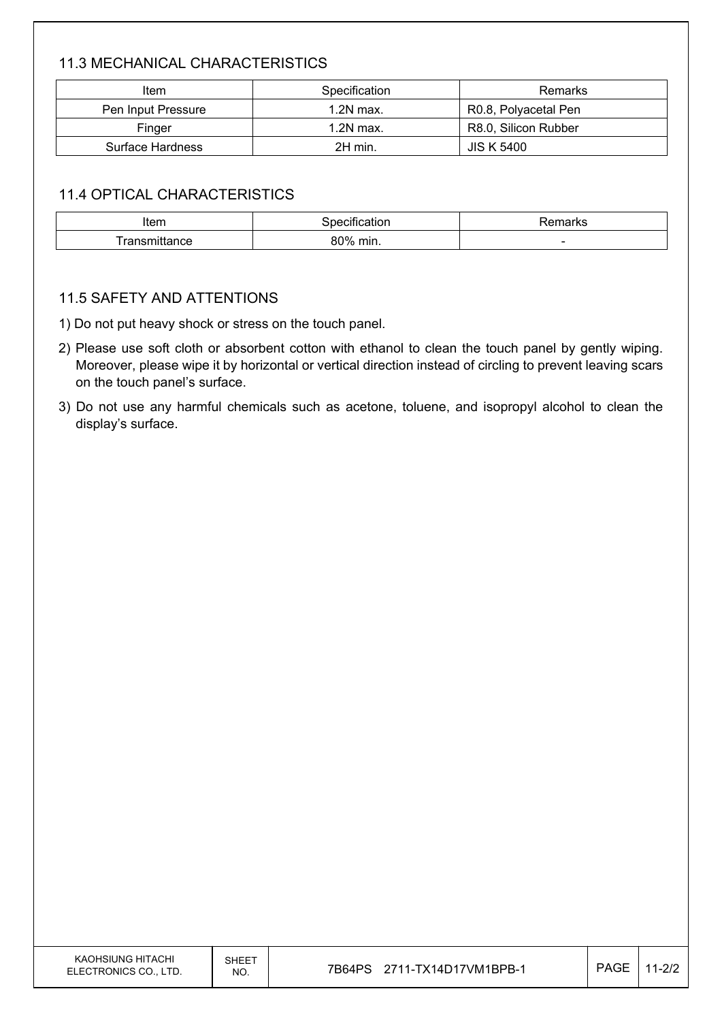### 11.3 MECHANICAL CHARACTERISTICS

| ltem               | Specification | Remarks              |
|--------------------|---------------|----------------------|
| Pen Input Pressure | $1.2N$ max.   | R0.8, Polyacetal Pen |
| Finger             | $1.2N$ max.   | R8.0, Silicon Rubber |
| Surface Hardness   | 2H min.       | <b>JIS K 5400</b>    |

#### 11.4 OPTICAL CHARACTERISTICS

| Item           | $\sim$<br>----- | maxmax<br>70111 di NS    |
|----------------|-----------------|--------------------------|
| ror<br>udilut. | 80%<br>min.     | $\overline{\phantom{a}}$ |

#### 11.5 SAFETY AND ATTENTIONS

1) Do not put heavy shock or stress on the touch panel.

- 2) Please use soft cloth or absorbent cotton with ethanol to clean the touch panel by gently wiping. Moreover, please wipe it by horizontal or vertical direction instead of circling to prevent leaving scars on the touch panel's surface.
- 3) Do not use any harmful chemicals such as acetone, toluene, and isopropyl alcohol to clean the display's surface.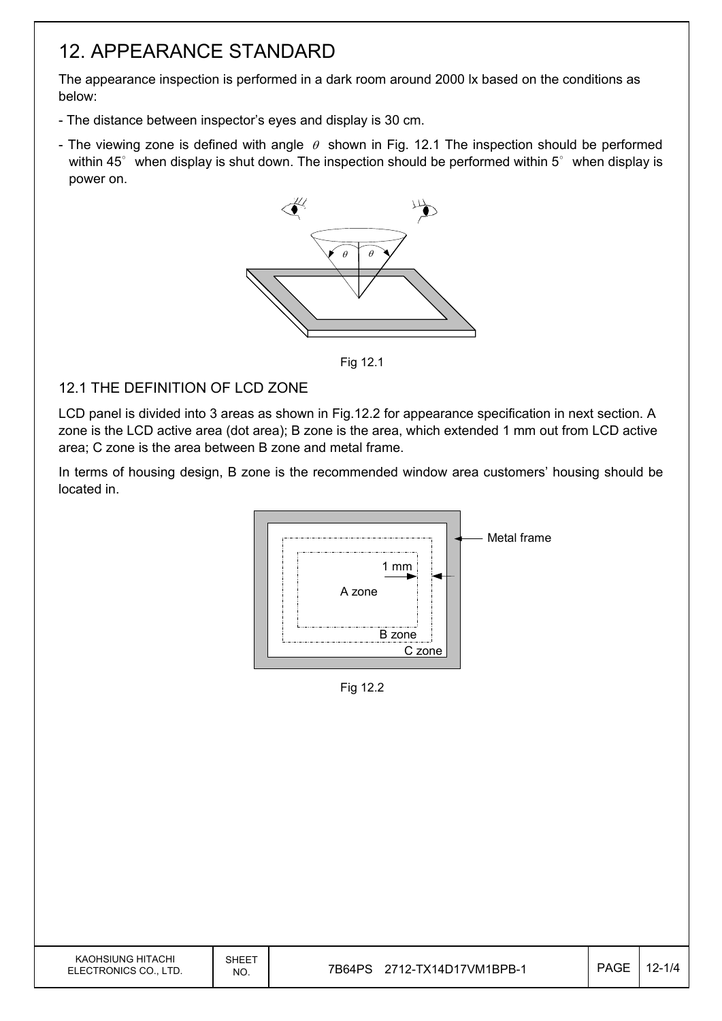## 12. APPEARANCE STANDARD

The appearance inspection is performed in a dark room around 2000 lx based on the conditions as below:

- The distance between inspector's eyes and display is 30 cm.
- The viewing zone is defined with angle  $\theta$  shown in Fig. 12.1 The inspection should be performed within 45 $\degree$  when display is shut down. The inspection should be performed within 5 $\degree$  when display is power on.



Fig 12.1

#### 12.1 THE DEFINITION OF LCD ZONE

LCD panel is divided into 3 areas as shown in Fig.12.2 for appearance specification in next section. A zone is the LCD active area (dot area); B zone is the area, which extended 1 mm out from LCD active area; C zone is the area between B zone and metal frame.

In terms of housing design, B zone is the recommended window area customers' housing should be located in.



Fig 12.2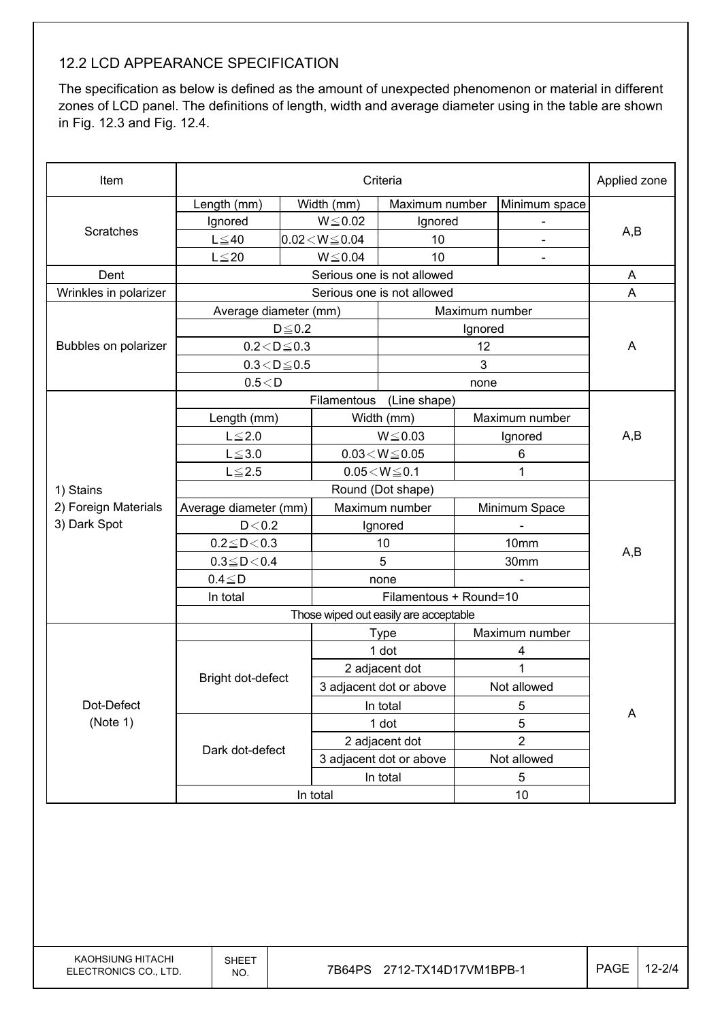#### 12.2 LCD APPEARANCE SPECIFICATION

The specification as below is defined as the amount of unexpected phenomenon or material in different zones of LCD panel. The definitions of length, width and average diameter using in the table are shown in Fig. 12.3 and Fig. 12.4.

| Item                   | Criteria               |                                       |                          |                            | Applied zone   |                |     |
|------------------------|------------------------|---------------------------------------|--------------------------|----------------------------|----------------|----------------|-----|
|                        | Length (mm)            |                                       | Width (mm)               | Maximum number             |                | Minimum space  |     |
|                        | Ignored                |                                       | $W \le 0.02$             | Ignored                    |                |                |     |
| Scratches              | $L \leq 40$            |                                       | $0.02 < W \le 0.04$      | 10                         |                |                | A,B |
|                        | $L \leq 20$            |                                       | $W \le 0.04$             | 10                         |                | $\blacksquare$ |     |
| Dent                   |                        |                                       |                          | Serious one is not allowed |                |                | A   |
| Wrinkles in polarizer  |                        |                                       |                          | Serious one is not allowed |                |                | A   |
|                        | Average diameter (mm)  |                                       |                          |                            | Maximum number |                |     |
|                        |                        | $D \leq 0.2$                          |                          |                            | Ignored        |                |     |
| Bubbles on polarizer   | $0.2 < D \leq 0.3$     |                                       |                          |                            | 12             |                | A   |
|                        | $0.3\!<\!D\!\leq\!0.5$ |                                       |                          |                            | 3              |                |     |
|                        | 0.5 < D                |                                       |                          |                            | none           |                |     |
|                        |                        |                                       | Filamentous              | (Line shape)               |                |                |     |
|                        | Length (mm)            |                                       |                          | Width (mm)                 |                | Maximum number |     |
|                        | $L \leq 2.0$           |                                       |                          | $W \le 0.03$               | Ignored        |                | A,B |
|                        | $L \le 3.0$            |                                       | $0.03\!<\!W\!\leq\!0.05$ | 6                          |                |                |     |
|                        | $L \leq 2.5$           | $0.05\!<\!W\!\leq\!0.1$               |                          |                            | 1              |                |     |
| 1) Stains              | Round (Dot shape)      |                                       |                          |                            |                |                |     |
| 2) Foreign Materials   | Average diameter (mm)  |                                       | Maximum number           |                            |                | Minimum Space  |     |
| 3) Dark Spot           |                        | D < 0.2<br>Ignored                    |                          |                            |                |                |     |
|                        | $0.2 \leq D < 0.3$     |                                       |                          | 10                         |                | 10mm           | A,B |
|                        | $0.3 \leq D \leq 0.4$  |                                       |                          | 5                          |                | 30mm           |     |
|                        | $0.4 \leq D$           |                                       |                          | none                       |                |                |     |
|                        | In total               |                                       |                          | Filamentous + Round=10     |                |                |     |
|                        |                        | Those wiped out easily are acceptable |                          |                            |                |                |     |
|                        |                        |                                       |                          | <b>Type</b>                |                | Maximum number |     |
|                        |                        |                                       |                          | 1 dot                      |                | 4              |     |
|                        | Bright dot-defect      |                                       |                          | 2 adjacent dot             | 1              |                |     |
| Dot-Defect<br>(Note 1) |                        |                                       | 3 adjacent dot or above  |                            | Not allowed    |                |     |
|                        |                        |                                       |                          | In total                   |                | 5              | A   |
|                        |                        |                                       |                          | 1 dot                      |                | 5              |     |
|                        | Dark dot-defect        | 2 adjacent dot                        |                          |                            | $\overline{2}$ |                |     |
|                        |                        |                                       | 3 adjacent dot or above  |                            | Not allowed    |                |     |
|                        |                        |                                       |                          | In total                   |                | 5              |     |
|                        | In total               |                                       |                          | 10                         |                |                |     |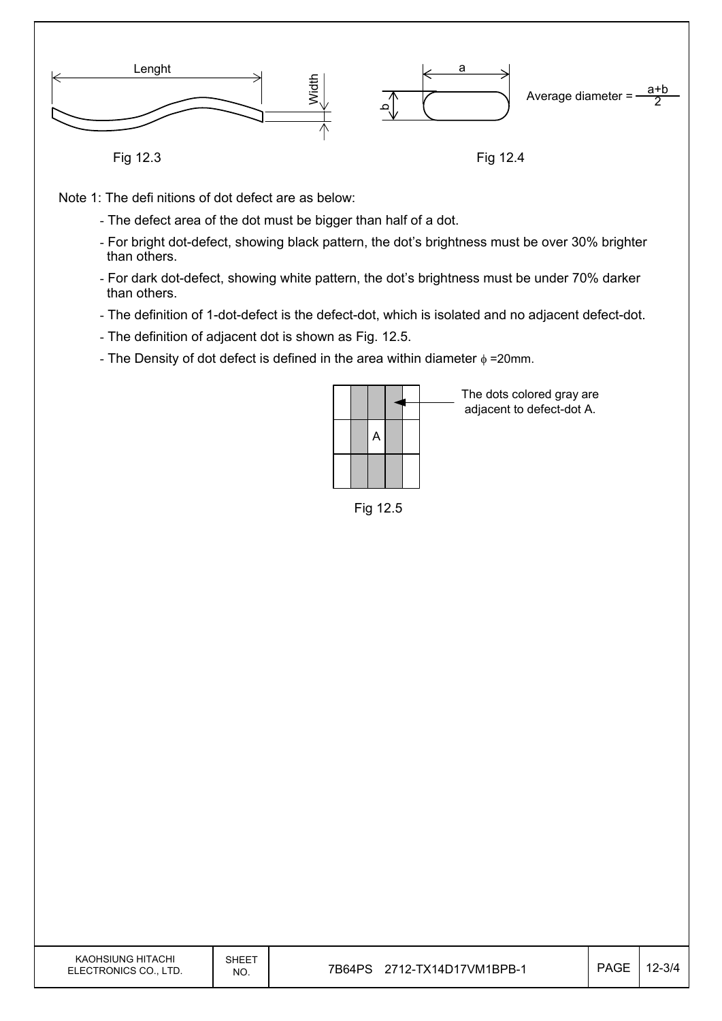

Fig 12.3

Fig 12.4

Note 1: The defi nitions of dot defect are as below:

- The defect area of the dot must be bigger than half of a dot.
- For bright dot-defect, showing black pattern, the dot's brightness must be over 30% brighter than others.
- For dark dot-defect, showing white pattern, the dot's brightness must be under 70% darker than others.
- The definition of 1-dot-defect is the defect-dot, which is isolated and no adjacent defect-dot.
- The definition of adjacent dot is shown as Fig. 12.5.
- The Density of dot defect is defined in the area within diameter  $\phi$  =20mm.

|  | A |  |  |
|--|---|--|--|
|  |   |  |  |

Fig 12.5

The dots colored gray are adjacent to defect-dot A.

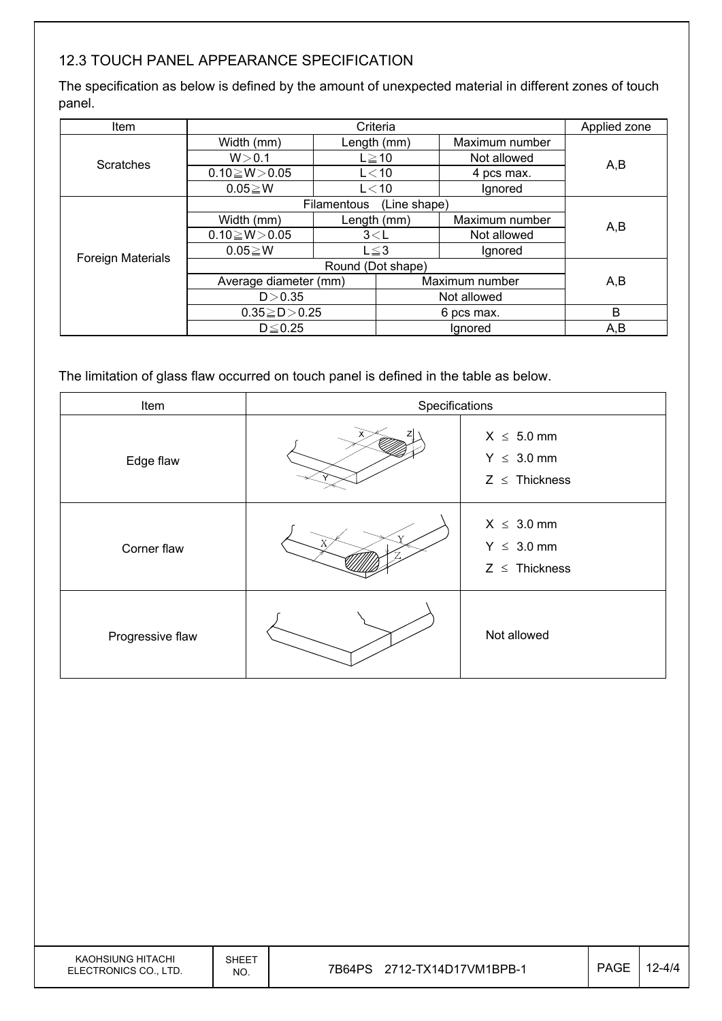### 12.3 TOUCH PANEL APPEARANCE SPECIFICATION

The specification as below is defined by the amount of unexpected material in different zones of touch panel.

| Item                     | Criteria              |                             |             | Applied zone   |     |  |
|--------------------------|-----------------------|-----------------------------|-------------|----------------|-----|--|
|                          | Width (mm)            |                             | Length (mm) | Maximum number |     |  |
| <b>Scratches</b>         | W > 0.1               | $L \ge 10$                  |             | Not allowed    | A,B |  |
|                          | $0.10 \ge W > 0.05$   | $L<$ 10                     |             | 4 pcs max.     |     |  |
|                          | $0.05 \ge W$          | $L<$ 10                     |             | Ignored        |     |  |
|                          |                       | Filamentous<br>(Line shape) |             |                |     |  |
|                          | Width (mm)            |                             | Length (mm) | Maximum number | A,B |  |
|                          | $0.10 \ge W > 0.05$   | 3< L                        |             | Not allowed    |     |  |
| <b>Foreign Materials</b> | $0.05 \ge W$          | $L \leq 3$                  |             | Ignored        |     |  |
|                          | Round (Dot shape)     |                             |             |                |     |  |
|                          | Average diameter (mm) |                             |             | Maximum number | A,B |  |
|                          | D > 0.35              |                             |             | Not allowed    |     |  |
|                          | $0.35 \ge D > 0.25$   |                             |             | 6 pcs max.     | B   |  |
|                          | $D \leq 0.25$         |                             | lgnored     |                | A,B |  |

The limitation of glass flaw occurred on touch panel is defined in the table as below.

| Item             | Specifications |                                                          |  |  |
|------------------|----------------|----------------------------------------------------------|--|--|
| Edge flaw        |                | $X \leq 5.0$ mm<br>$Y \leq 3.0$ mm<br>$Z \leq$ Thickness |  |  |
| Corner flaw      |                | $X \leq 3.0$ mm<br>$Y \leq 3.0$ mm<br>$Z \leq$ Thickness |  |  |
| Progressive flaw |                | Not allowed                                              |  |  |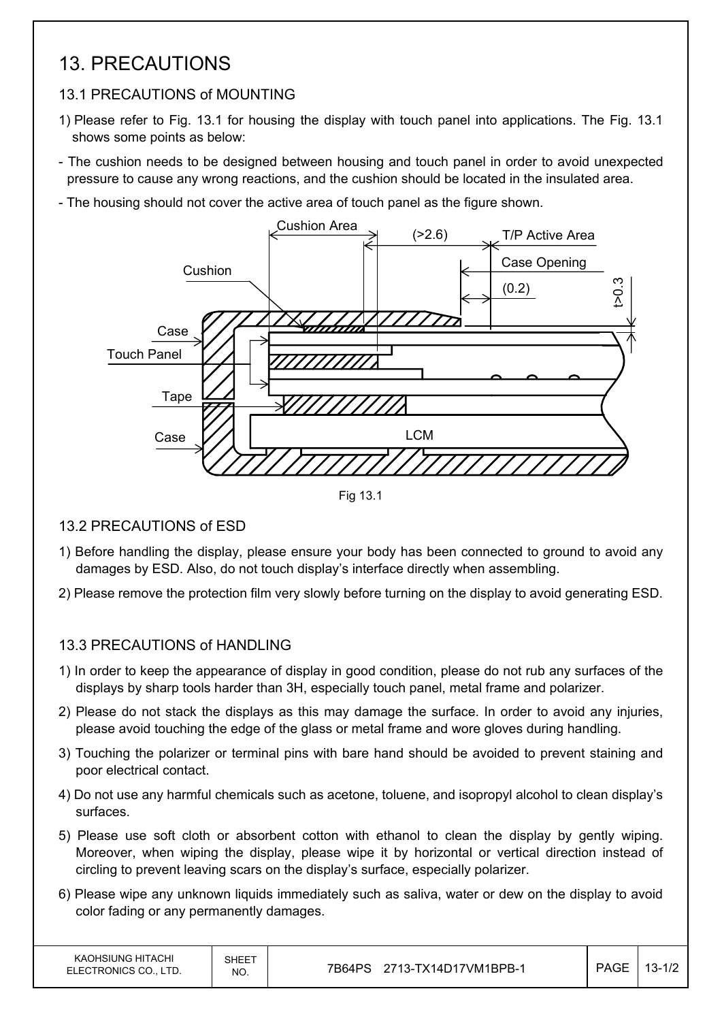## 13. PRECAUTIONS

### 13.1 PRECAUTIONS of MOUNTING

- 1) Please refer to Fig. 13.1 for housing the display with touch panel into applications. The Fig. 13.1 shows some points as below:
- The cushion needs to be designed between housing and touch panel in order to avoid unexpected pressure to cause any wrong reactions, and the cushion should be located in the insulated area.
- The housing should not cover the active area of touch panel as the figure shown.



Fig 13.1

### 13.2 PRECAUTIONS of ESD

- 1) Before handling the display, please ensure your body has been connected to ground to avoid any damages by ESD. Also, do not touch display's interface directly when assembling.
- 2) Please remove the protection film very slowly before turning on the display to avoid generating ESD.

## 13.3 PRECAUTIONS of HANDLING

- 1) In order to keep the appearance of display in good condition, please do not rub any surfaces of the displays by sharp tools harder than 3H, especially touch panel, metal frame and polarizer.
- 2) Please do not stack the displays as this may damage the surface. In order to avoid any injuries, please avoid touching the edge of the glass or metal frame and wore gloves during handling.
- 3) Touching the polarizer or terminal pins with bare hand should be avoided to prevent staining and poor electrical contact.
- 4) Do not use any harmful chemicals such as acetone, toluene, and isopropyl alcohol to clean display's surfaces.
- 5) Please use soft cloth or absorbent cotton with ethanol to clean the display by gently wiping. Moreover, when wiping the display, please wipe it by horizontal or vertical direction instead of circling to prevent leaving scars on the display's surface, especially polarizer.
- 6) Please wipe any unknown liquids immediately such as saliva, water or dew on the display to avoid color fading or any permanently damages.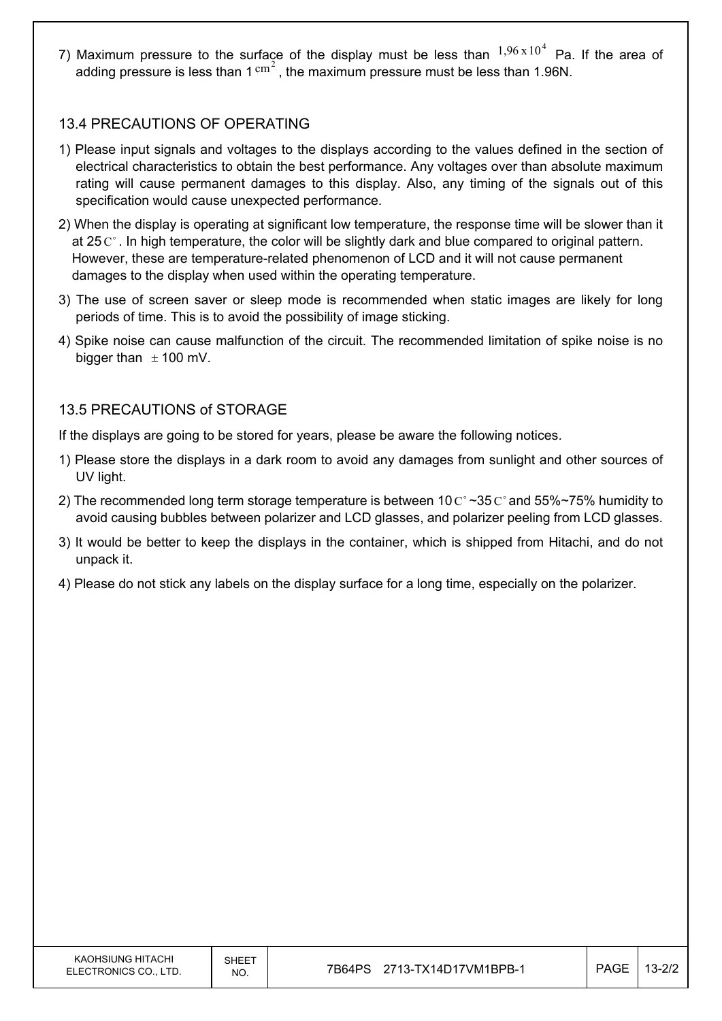7) Maximum pressure to the surface of the display must be less than  $1,96 \times 10^4$  Pa. If the area of adding pressure is less than 1  $\text{cm}^2$ , the maximum pressure must be less than 1.96N.

#### 13.4 PRECAUTIONS OF OPERATING

- 1) Please input signals and voltages to the displays according to the values defined in the section of electrical characteristics to obtain the best performance. Any voltages over than absolute maximum rating will cause permanent damages to this display. Also, any timing of the signals out of this specification would cause unexpected performance.
- 2) When the display is operating at significant low temperature, the response time will be slower than it at 25  $\mathrm{C}^{\circ}$ . In high temperature, the color will be slightly dark and blue compared to original pattern. However, these are temperature-related phenomenon of LCD and it will not cause permanent damages to the display when used within the operating temperature.
- 3) The use of screen saver or sleep mode is recommended when static images are likely for long periods of time. This is to avoid the possibility of image sticking.
- 4) Spike noise can cause malfunction of the circuit. The recommended limitation of spike noise is no bigger than  $\pm$  100 mV.

#### 13.5 PRECAUTIONS of STORAGE

If the displays are going to be stored for years, please be aware the following notices.

- 1) Please store the displays in a dark room to avoid any damages from sunlight and other sources of UV light.
- 2) The recommended long term storage temperature is between 10  $\text{C}^{\circ} \sim 35 \text{ C}^{\circ}$  and 55%~75% humidity to avoid causing bubbles between polarizer and LCD glasses, and polarizer peeling from LCD glasses.
- 3) It would be better to keep the displays in the container, which is shipped from Hitachi, and do not unpack it.
- 4) Please do not stick any labels on the display surface for a long time, especially on the polarizer.